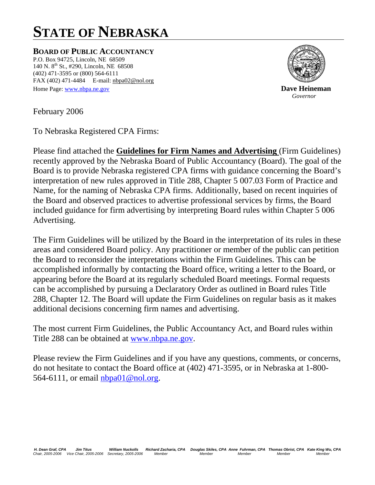# **STATE OF NEBRASKA**

**BOARD OF PUBLIC ACCOUNTANCY**

P.O. Box 94725, Lincoln, NE 68509 140 N. 8<sup>th</sup> St., #290, Lincoln, NE 68508 (402) 471-3595 or (800) 564-6111 FAX (402) 471-4484 E-mail: nbpa02@nol.org Home Page: www.nbpa.ne.gov **Dave Heineman** 



*Governor* 

February 2006

To Nebraska Registered CPA Firms:

Please find attached the **Guidelines for Firm Names and Advertising** (Firm Guidelines) recently approved by the Nebraska Board of Public Accountancy (Board). The goal of the Board is to provide Nebraska registered CPA firms with guidance concerning the Board's interpretation of new rules approved in Title 288, Chapter 5 007.03 Form of Practice and Name, for the naming of Nebraska CPA firms. Additionally, based on recent inquiries of the Board and observed practices to advertise professional services by firms, the Board included guidance for firm advertising by interpreting Board rules within Chapter 5 006 Advertising.

The Firm Guidelines will be utilized by the Board in the interpretation of its rules in these areas and considered Board policy. Any practitioner or member of the public can petition the Board to reconsider the interpretations within the Firm Guidelines. This can be accomplished informally by contacting the Board office, writing a letter to the Board, or appearing before the Board at its regularly scheduled Board meetings. Formal requests can be accomplished by pursuing a Declaratory Order as outlined in Board rules Title 288, Chapter 12. The Board will update the Firm Guidelines on regular basis as it makes additional decisions concerning firm names and advertising.

The most current Firm Guidelines, the Public Accountancy Act, and Board rules within Title 288 can be obtained at [www.nbpa.ne.gov](http://www.nbpa.ne.gov/).

Please review the Firm Guidelines and if you have any questions, comments, or concerns, do not hesitate to contact the Board office at (402) 471-3595, or in Nebraska at 1-800 564-6111, or email [nbpa01@nol.org.](mailto:nbpa01@nol.org)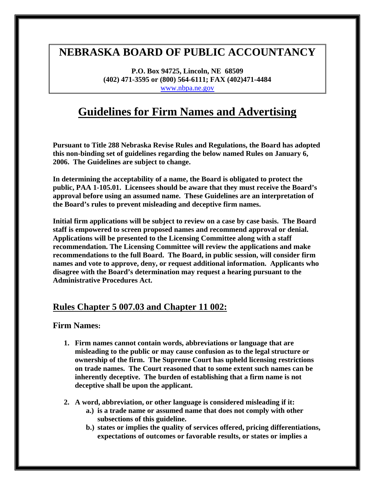# **NEBRASKA BOARD OF PUBLIC ACCOUNTANCY**

**P.O. Box 94725, Lincoln, NE 68509 (402) 471-3595 or (800) 564-6111; FAX (402)471-4484**  [www.nbpa.ne.gov](http://www.nbpa.ne.gov/) 

# **Guidelines for Firm Names and Advertising**

**Pursuant to Title 288 Nebraska Revise Rules and Regulations, the Board has adopted this non-binding set of guidelines regarding the below named Rules on January 6, 2006. The Guidelines are subject to change.** 

**In determining the acceptability of a name, the Board is obligated to protect the public, PAA 1-105.01. Licensees should be aware that they must receive the Board's approval before using an assumed name. These Guidelines are an interpretation of the Board's rules to prevent misleading and deceptive firm names.** 

**Initial firm applications will be subject to review on a case by case basis. The Board staff is empowered to screen proposed names and recommend approval or denial. Applications will be presented to the Licensing Committee along with a staff recommendation. The Licensing Committee will review the applications and make recommendations to the full Board. The Board, in public session, will consider firm names and vote to approve, deny, or request additional information. Applicants who disagree with the Board's determination may request a hearing pursuant to the Administrative Procedures Act.** 

## **Rules Chapter 5 007.03 and Chapter 11 002:**

#### **Firm Names:**

- **1. Firm names cannot contain words, abbreviations or language that are misleading to the public or may cause confusion as to the legal structure or ownership of the firm. The Supreme Court has upheld licensing restrictions on trade names. The Court reasoned that to some extent such names can be inherently deceptive. The burden of establishing that a firm name is not deceptive shall be upon the applicant.**
- **2. A word, abbreviation, or other language is considered misleading if it:** 
	- **a.) is a trade name or assumed name that does not comply with other subsections of this guideline.**
	- **b.) states or implies the quality of services offered, pricing differentiations, expectations of outcomes or favorable results, or states or implies a**